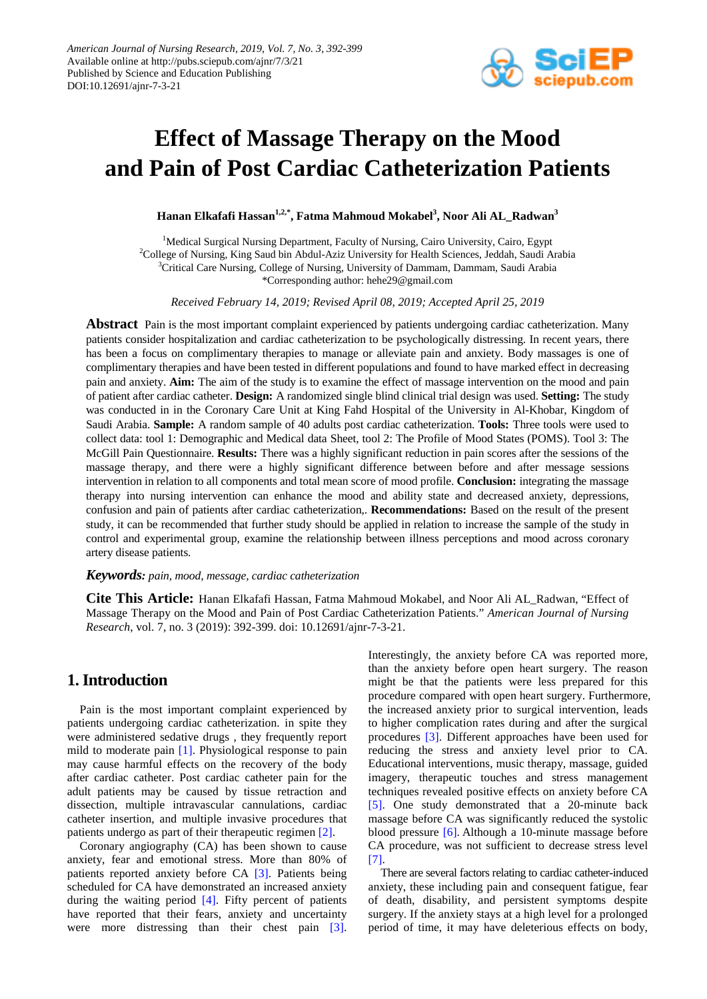

# **Effect of Massage Therapy on the Mood and Pain of Post Cardiac Catheterization Patients**

**Hanan Elkafafi Hassan1,2,\*, Fatma Mahmoud Mokabel3 , Noor Ali AL\_Radwan3**

<sup>1</sup>Medical Surgical Nursing Department, Faculty of Nursing, Cairo University, Cairo, Egypt<sup>2</sup>College of Nursing, King Saud bin Abdul, Aziz University for Health Sciences, Jeddah, Saudi, A <sup>2</sup>College of Nursing, King Saud bin Abdul-Aziz University for Health Sciences, Jeddah, Saudi Arabia <sup>3</sup>Critical Care Nursing, College of Nursing, University of Dammam, Dammam, Saudi Arabia \*Corresponding author: hehe29@gmail.com

*Received February 14, 2019; Revised April 08, 2019; Accepted April 25, 2019*

**Abstract** Pain is the most important complaint experienced by patients undergoing cardiac catheterization. Many patients consider hospitalization and cardiac catheterization to be psychologically distressing. In recent years, there has been a focus on complimentary therapies to manage or alleviate pain and anxiety. Body massages is one of complimentary therapies and have been tested in different populations and found to have marked effect in decreasing pain and anxiety. **Aim:** The aim of the study is to examine the effect of massage intervention on the mood and pain of patient after cardiac catheter. **Design:** A randomized single blind clinical trial design was used. **Setting:** The study was conducted in in the Coronary Care Unit at King Fahd Hospital of the University in Al-Khobar, Kingdom of Saudi Arabia. **Sample:** A random sample of 40 adults post cardiac catheterization. **Tools:** Three tools were used to collect data: tool 1: Demographic and Medical data Sheet, tool 2: The Profile of Mood States (POMS). Tool 3: The McGill Pain Questionnaire. **Results:** There was a highly significant reduction in pain scores after the sessions of the massage therapy, and there were a highly significant difference between before and after message sessions intervention in relation to all components and total mean score of mood profile. **Conclusion:** integrating the massage therapy into nursing intervention can enhance the mood and ability state and decreased anxiety, depressions, confusion and pain of patients after cardiac catheterization,. **Recommendations:** Based on the result of the present study, it can be recommended that further study should be applied in relation to increase the sample of the study in control and experimental group, examine the relationship between illness perceptions and mood across coronary artery disease patients.

#### *Keywords: pain, mood, message, cardiac catheterization*

**Cite This Article:** Hanan Elkafafi Hassan, Fatma Mahmoud Mokabel, and Noor Ali AL\_Radwan, "Effect of Massage Therapy on the Mood and Pain of Post Cardiac Catheterization Patients." *American Journal of Nursing Research*, vol. 7, no. 3 (2019): 392-399. doi: 10.12691/ajnr-7-3-21.

# **1. Introduction**

Pain is the most important complaint experienced by patients undergoing cardiac catheterization. in spite they were administered sedative drugs , they frequently report mild to moderate pain [\[1\].](#page-6-0) Physiological response to pain may cause harmful effects on the recovery of the body after cardiac catheter. Post cardiac catheter pain for the adult patients may be caused by tissue retraction and dissection, multiple intravascular cannulations, cardiac catheter insertion, and multiple invasive procedures that patients undergo as part of their therapeutic regimen [\[2\].](#page-6-1)

Coronary angiography (CA) has been shown to cause anxiety, fear and emotional stress. More than 80% of patients reported anxiety before CA [\[3\].](#page-6-2) Patients being scheduled for CA have demonstrated an increased anxiety during the waiting period [\[4\].](#page-6-3) Fifty percent of patients have reported that their fears, anxiety and uncertainty were more distressing than their chest pain [\[3\].](#page-6-2) Interestingly, the anxiety before CA was reported more, than the anxiety before open heart surgery. The reason might be that the patients were less prepared for this procedure compared with open heart surgery. Furthermore, the increased anxiety prior to surgical intervention, leads to higher complication rates during and after the surgical procedures [\[3\].](#page-6-2) Different approaches have been used for reducing the stress and anxiety level prior to CA. Educational interventions, music therapy, massage, guided imagery, therapeutic touches and stress management techniques revealed positive effects on anxiety before CA [\[5\].](#page-6-4) One study demonstrated that a 20-minute back massage before CA was significantly reduced the systolic blood pressure [\[6\].](#page-6-5) Although a 10-minute massage before CA procedure, was not sufficient to decrease stress level [\[7\].](#page-6-6)

There are several factors relating to cardiac catheter-induced anxiety, these including pain and consequent fatigue, fear of death, disability, and persistent symptoms despite surgery. If the anxiety stays at a high level for a prolonged period of time, it may have deleterious effects on body,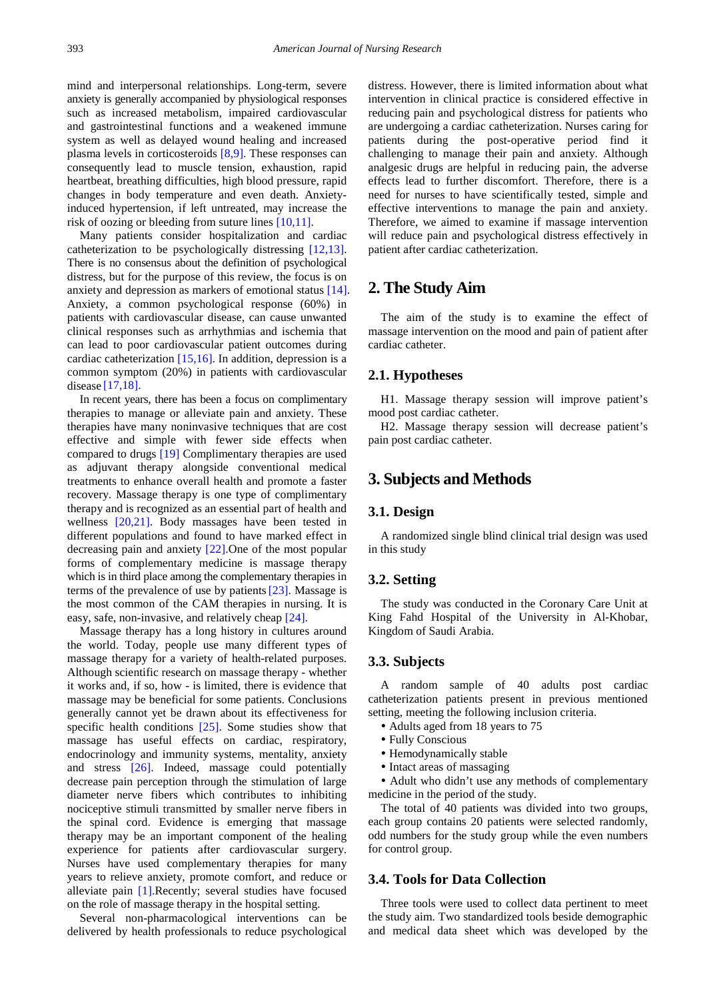mind and interpersonal relationships. Long-term, severe anxiety is generally accompanied by physiological responses such as increased metabolism, impaired cardiovascular and gastrointestinal functions and a weakened immune system as well as delayed wound healing and increased plasma levels in corticosteroids [\[8,9\].](#page-6-7) These responses can consequently lead to muscle tension, exhaustion, rapid heartbeat, breathing difficulties, high blood pressure, rapid changes in body temperature and even death. Anxietyinduced hypertension, if left untreated, may increase the risk of oozing or bleeding from suture lines [\[10,11\].](#page-6-8)

Many patients consider hospitalization and cardiac catheterization to be psychologically distressing [\[12,13\].](#page-6-9) There is no consensus about the definition of psychological distress, but for the purpose of this review, the focus is on anxiety and depression as markers of emotional status [\[14\].](#page-6-10) Anxiety, a common psychological response (60%) in patients with cardiovascular disease, can cause unwanted clinical responses such as arrhythmias and ischemia that can lead to poor cardiovascular patient outcomes during cardiac catheterization [\[15,16\].](#page-6-11) In addition, depression is a common symptom (20%) in patients with cardiovascular disease [\[17,18\].](#page-6-12)

In recent years, there has been a focus on complimentary therapies to manage or alleviate pain and anxiety. These therapies have many noninvasive techniques that are cost effective and simple with fewer side effects when compared to drugs [\[19\]](#page-7-0) Complimentary therapies are used as adjuvant therapy alongside conventional medical treatments to enhance overall health and promote a faster recovery. Massage therapy is one type of complimentary therapy and is recognized as an essential part of health and wellness [\[20,21\].](#page-7-1) Body massages have been tested in different populations and found to have marked effect in decreasing pain and anxiety [\[22\].](#page-7-2)One of the most popular forms of complementary medicine is massage therapy which is in third place among the complementary therapies in terms of the prevalence of use by patient[s\[23\].](#page-7-3) Massage is the most common of the CAM therapies in nursing. It is easy, safe, non-invasive, and relatively cheap [\[24\].](#page-7-4)

Massage therapy has a long history in cultures around the world. Today, people use many different types of massage therapy for a variety of health-related purposes. Although scientific research on massage therapy - whether it works and, if so, how - is limited, there is evidence that massage may be beneficial for some patients. Conclusions generally cannot yet be drawn about its effectiveness for specific health conditions [\[25\].](#page-7-5) Some studies show that massage has useful effects on cardiac, respiratory, endocrinology and immunity systems, mentality, anxiety and stress [\[26\].](#page-7-6) Indeed, massage could potentially decrease pain perception through the stimulation of large diameter nerve fibers which contributes to inhibiting nociceptive stimuli transmitted by smaller nerve fibers in the spinal cord. Evidence is emerging that massage therapy may be an important component of the healing experience for patients after cardiovascular surgery. Nurses have used complementary therapies for many years to relieve anxiety, promote comfort, and reduce or alleviate pain [\[1\].](#page-6-0)Recently; several studies have focused on the role of massage therapy in the hospital setting.

Several non-pharmacological interventions can be delivered by health professionals to reduce psychological distress. However, there is limited information about what intervention in clinical practice is considered effective in reducing pain and psychological distress for patients who are undergoing a cardiac catheterization. Nurses caring for patients during the post-operative period find it challenging to manage their pain and anxiety. Although analgesic drugs are helpful in reducing pain, the adverse effects lead to further discomfort. Therefore, there is a need for nurses to have scientifically tested, simple and effective interventions to manage the pain and anxiety. Therefore, we aimed to examine if massage intervention will reduce pain and psychological distress effectively in patient after cardiac catheterization.

# **2. The Study Aim**

The aim of the study is to examine the effect of massage intervention on the mood and pain of patient after cardiac catheter.

#### **2.1. Hypotheses**

H1. Massage therapy session will improve patient's mood post cardiac catheter.

H2. Massage therapy session will decrease patient's pain post cardiac catheter.

# **3. Subjects and Methods**

#### **3.1. Design**

A randomized single blind clinical trial design was used in this study

#### **3.2. Setting**

The study was conducted in the Coronary Care Unit at King Fahd Hospital of the University in Al-Khobar, Kingdom of Saudi Arabia.

#### **3.3. Subjects**

A random sample of 40 adults post cardiac catheterization patients present in previous mentioned setting, meeting the following inclusion criteria.

- Adults aged from 18 years to 75
- Fully Conscious
- Hemodynamically stable
- Intact areas of massaging

 Adult who didn't use any methods of complementary medicine in the period of the study.

The total of 40 patients was divided into two groups, each group contains 20 patients were selected randomly, odd numbers for the study group while the even numbers for control group.

#### **3.4. Tools for Data Collection**

Three tools were used to collect data pertinent to meet the study aim. Two standardized tools beside demographic and medical data sheet which was developed by the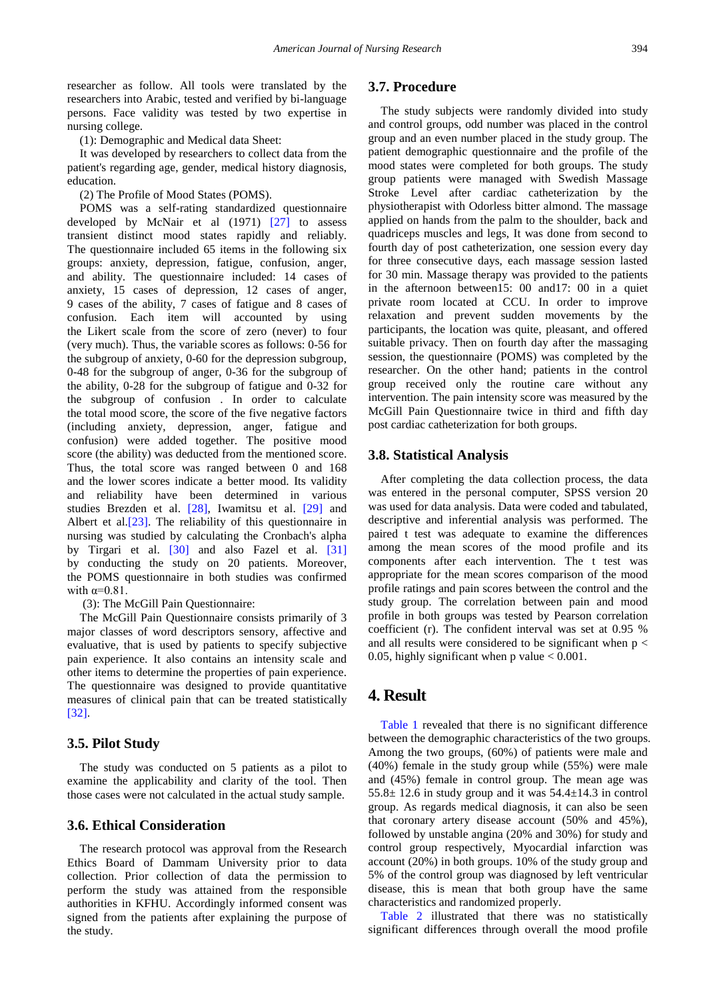researcher as follow. All tools were translated by the researchers into Arabic, tested and verified by bi-language persons. Face validity was tested by two expertise in nursing college.

(1): Demographic and Medical data Sheet:

It was developed by researchers to collect data from the patient's regarding age, gender, medical history diagnosis, education.

(2) The Profile of Mood States (POMS).

POMS was a self-rating standardized questionnaire developed by McNair et al (1971) [\[27\]](#page-7-7) to assess transient distinct mood states rapidly and reliably. The questionnaire included 65 items in the following six groups: anxiety, depression, fatigue, confusion, anger, and ability. The questionnaire included: 14 cases of anxiety, 15 cases of depression, 12 cases of anger, 9 cases of the ability, 7 cases of fatigue and 8 cases of confusion. Each item will accounted by using the Likert scale from the score of zero (never) to four (very much). Thus, the variable scores as follows: 0-56 for the subgroup of anxiety, 0-60 for the depression subgroup, 0-48 for the subgroup of anger, 0-36 for the subgroup of the ability, 0-28 for the subgroup of fatigue and 0-32 for the subgroup of confusion . In order to calculate the total mood score, the score of the five negative factors (including anxiety, depression, anger, fatigue and confusion) were added together. The positive mood score (the ability) was deducted from the mentioned score. Thus, the total score was ranged between 0 and 168 and the lower scores indicate a better mood. Its validity and reliability have been determined in various studies Brezden et al. [\[28\],](#page-7-8) Iwamitsu et al. [\[29\]](#page-7-9) and Albert et al[.\[23\].](#page-7-3) The reliability of this questionnaire in nursing was studied by calculating the Cronbach's alpha by Tirgari et al. [\[30\]](#page-7-10) and also Fazel et al. [\[31\]](#page-7-11) by conducting the study on 20 patients. Moreover, the POMS questionnaire in both studies was confirmed with  $\alpha=0.81$ .

(3): The McGill Pain Questionnaire:

The McGill Pain Questionnaire consists primarily of 3 major classes of word descriptors sensory, affective and evaluative, that is used by patients to specify subjective pain experience. It also contains an intensity scale and other items to determine the properties of pain experience. The questionnaire was designed to provide quantitative measures of clinical pain that can be treated statistically [\[32\].](#page-7-12)

#### **3.5. Pilot Study**

The study was conducted on 5 patients as a pilot to examine the applicability and clarity of the tool. Then those cases were not calculated in the actual study sample.

#### **3.6. Ethical Consideration**

The research protocol was approval from the Research Ethics Board of Dammam University prior to data collection. Prior collection of data the permission to perform the study was attained from the responsible authorities in KFHU. Accordingly informed consent was signed from the patients after explaining the purpose of the study.

#### **3.7. Procedure**

The study subjects were randomly divided into study and control groups, odd number was placed in the control group and an even number placed in the study group. The patient demographic questionnaire and the profile of the mood states were completed for both groups. The study group patients were managed with Swedish Massage Stroke Level after cardiac catheterization by the physiotherapist with Odorless bitter almond. The massage applied on hands from the palm to the shoulder, back and quadriceps muscles and legs, It was done from second to fourth day of post catheterization, one session every day for three consecutive days, each massage session lasted for 30 min. Massage therapy was provided to the patients in the afternoon between15: 00 and17: 00 in a quiet private room located at CCU. In order to improve relaxation and prevent sudden movements by the participants, the location was quite, pleasant, and offered suitable privacy. Then on fourth day after the massaging session, the questionnaire (POMS) was completed by the researcher. On the other hand; patients in the control group received only the routine care without any intervention. The pain intensity score was measured by the McGill Pain Questionnaire twice in third and fifth day post cardiac catheterization for both groups.

#### **3.8. Statistical Analysis**

After completing the data collection process, the data was entered in the personal computer, SPSS version 20 was used for data analysis. Data were coded and tabulated, descriptive and inferential analysis was performed. The paired t test was adequate to examine the differences among the mean scores of the mood profile and its components after each intervention. The t test was appropriate for the mean scores comparison of the mood profile ratings and pain scores between the control and the study group. The correlation between pain and mood profile in both groups was tested by Pearson correlation coefficient (r). The confident interval was set at 0.95 % and all results were considered to be significant when  $p <$ 0.05, highly significant when p value  $< 0.001$ .

# **4. Result**

[Table 1](#page-3-0) revealed that there is no significant difference between the demographic characteristics of the two groups. Among the two groups, (60%) of patients were male and (40%) female in the study group while (55%) were male and (45%) female in control group. The mean age was  $55.8 \pm 12.6$  in study group and it was  $54.4 \pm 14.3$  in control group. As regards medical diagnosis, it can also be seen that coronary artery disease account (50% and 45%), followed by unstable angina (20% and 30%) for study and control group respectively, Myocardial infarction was account (20%) in both groups. 10% of the study group and 5% of the control group was diagnosed by left ventricular disease, this is mean that both group have the same characteristics and randomized properly.

[Table 2](#page-3-1) illustrated that there was no statistically significant differences through overall the mood profile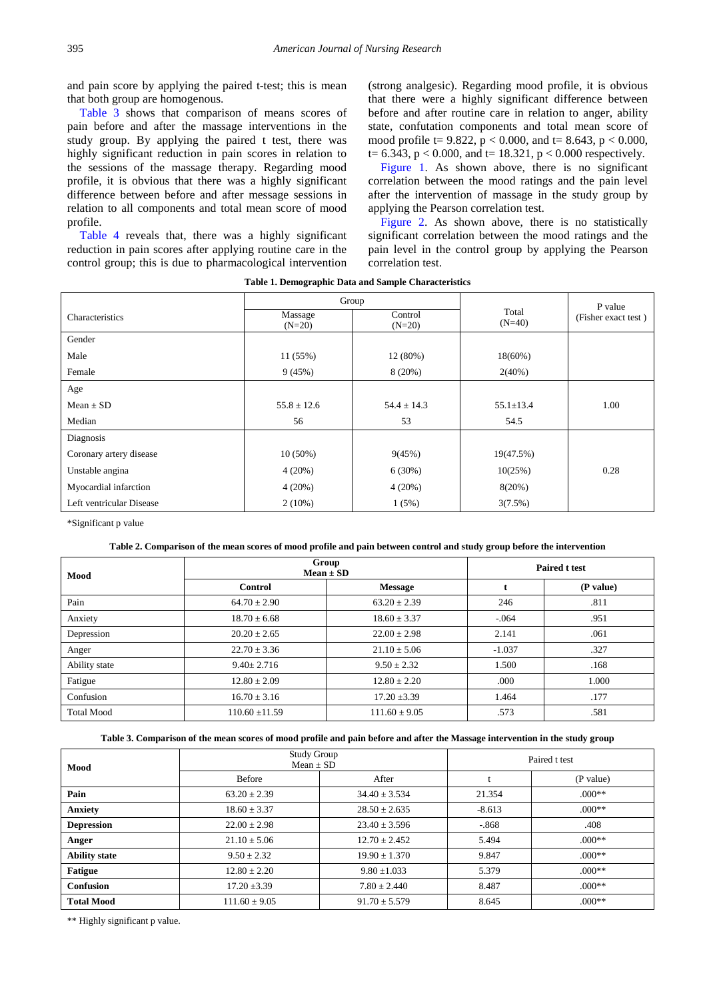and pain score by applying the paired t-test; this is mean that both group are homogenous.

[Table 3](#page-3-2) shows that comparison of means scores of pain before and after the massage interventions in the study group. By applying the paired t test, there was highly significant reduction in pain scores in relation to the sessions of the massage therapy. Regarding mood profile, it is obvious that there was a highly significant difference between before and after message sessions in relation to all components and total mean score of mood profile.

[Table 4](#page-4-0) reveals that, there was a highly significant reduction in pain scores after applying routine care in the control group; this is due to pharmacological intervention

(strong analgesic). Regarding mood profile, it is obvious that there were a highly significant difference between before and after routine care in relation to anger, ability state, confutation components and total mean score of mood profile t=  $9.822$ , p < 0.000, and t= 8.643, p < 0.000,  $t= 6.343$ ,  $p < 0.000$ , and  $t= 18.321$ ,  $p < 0.000$  respectively.

[Figure 1.](#page-4-1) As shown above, there is no significant correlation between the mood ratings and the pain level after the intervention of massage in the study group by applying the Pearson correlation test.

[Figure 2.](#page-4-2) As shown above, there is no statistically significant correlation between the mood ratings and the pain level in the control group by applying the Pearson correlation test.

|  |  | Table 1. Demographic Data and Sample Characteristics |
|--|--|------------------------------------------------------|
|  |  |                                                      |

<span id="page-3-0"></span>

|                          | Group               |                     |                   | P value             |
|--------------------------|---------------------|---------------------|-------------------|---------------------|
| Characteristics          | Massage<br>$(N=20)$ | Control<br>$(N=20)$ | Total<br>$(N=40)$ | (Fisher exact test) |
| Gender                   |                     |                     |                   |                     |
| Male                     | 11 (55%)            | 12 (80%)            | $18(60\%)$        |                     |
| Female                   | 9(45%)              | $8(20\%)$           | $2(40\%)$         |                     |
| Age                      |                     |                     |                   |                     |
| Mean $\pm$ SD            | $55.8 \pm 12.6$     | $54.4 \pm 14.3$     | $55.1 \pm 13.4$   | 1.00                |
| Median                   | 56                  | 53                  | 54.5              |                     |
| Diagnosis                |                     |                     |                   |                     |
| Coronary artery disease  | $10(50\%)$          | 9(45%)              | 19(47.5%)         |                     |
| Unstable angina          | 4(20%)              | $6(30\%)$           | 10(25%)           | 0.28                |
| Myocardial infarction    | 4(20%)              | $4(20\%)$           | 8(20%)            |                     |
| Left ventricular Disease | $2(10\%)$           | 1(5%)               | 3(7.5%)           |                     |

\*Significant p value

#### **Table 2. Comparison of the mean scores of mood profile and pain between control and study group before the intervention**

<span id="page-3-1"></span>

| Mood              | Group<br>$Mean \pm SD$ |                   | <b>Paired t test</b> |           |
|-------------------|------------------------|-------------------|----------------------|-----------|
|                   | <b>Control</b>         | <b>Message</b>    |                      | (P value) |
| Pain              | $64.70 \pm 2.90$       | $63.20 \pm 2.39$  | 246                  | .811      |
| Anxiety           | $18.70 \pm 6.68$       | $18.60 \pm 3.37$  | $-.064$              | .951      |
| Depression        | $20.20 \pm 2.65$       | $22.00 \pm 2.98$  | 2.141                | .061      |
| Anger             | $22.70 \pm 3.36$       | $21.10 \pm 5.06$  | $-1.037$             | .327      |
| Ability state     | $9.40 \pm 2.716$       | $9.50 \pm 2.32$   | 1.500                | .168      |
| Fatigue           | $12.80 \pm 2.09$       | $12.80 \pm 2.20$  | .000                 | 1.000     |
| Confusion         | $16.70 \pm 3.16$       | $17.20 \pm 3.39$  | 1.464                | .177      |
| <b>Total Mood</b> | $110.60 \pm 11.59$     | $111.60 \pm 9.05$ | .573                 | .581      |

#### **Table 3. Comparison of the mean scores of mood profile and pain before and after the Massage intervention in the study group**

<span id="page-3-2"></span>

| Mood                 | <b>Study Group</b><br>$Mean \pm SD$ |                   | Paired t test |           |
|----------------------|-------------------------------------|-------------------|---------------|-----------|
|                      | <b>Before</b>                       | After             |               | (P value) |
| Pain                 | $63.20 \pm 2.39$                    | $34.40 \pm 3.534$ | 21.354        | $.000**$  |
| <b>Anxiety</b>       | $18.60 \pm 3.37$                    | $28.50 \pm 2.635$ | $-8.613$      | $.000**$  |
| <b>Depression</b>    | $22.00 \pm 2.98$                    | $23.40 \pm 3.596$ | $-868$        | .408      |
| Anger                | $21.10 \pm 5.06$                    | $12.70 \pm 2.452$ | 5.494         | $.000**$  |
| <b>Ability state</b> | $9.50 \pm 2.32$                     | $19.90 \pm 1.370$ | 9.847         | $.000**$  |
| <b>Fatigue</b>       | $12.80 \pm 2.20$                    | $9.80 \pm 1.033$  | 5.379         | $.000**$  |
| Confusion            | $17.20 \pm 3.39$                    | $7.80 \pm 2.440$  | 8.487         | $.000**$  |
| <b>Total Mood</b>    | $111.60 \pm 9.05$                   | $91.70 \pm 5.579$ | 8.645         | $.000**$  |

\*\* Highly significant p value.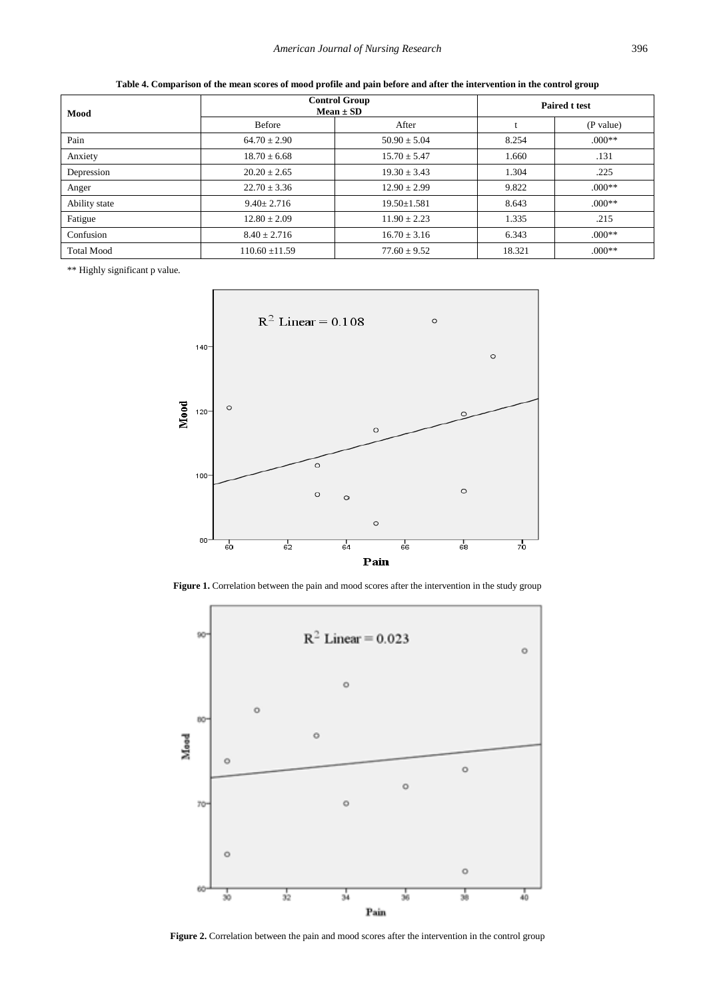<span id="page-4-0"></span>

| Mood              | <b>Control Group</b><br>$Mean \pm SD$ | <b>Paired t test</b> |        |           |
|-------------------|---------------------------------------|----------------------|--------|-----------|
|                   | <b>Before</b>                         | After                |        | (P value) |
| Pain              | $64.70 \pm 2.90$                      | $50.90 \pm 5.04$     | 8.254  | $.000**$  |
| Anxiety           | $18.70 \pm 6.68$                      | $15.70 \pm 5.47$     | 1.660  | .131      |
| Depression        | $20.20 \pm 2.65$                      | $19.30 \pm 3.43$     | 1.304  | .225      |
| Anger             | $22.70 \pm 3.36$                      | $12.90 \pm 2.99$     | 9.822  | $000**$   |
| Ability state     | $9.40 \pm 2.716$                      | $19.50 \pm 1.581$    | 8.643  | $.000**$  |
| Fatigue           | $12.80 \pm 2.09$                      | $11.90 \pm 2.23$     | 1.335  | .215      |
| Confusion         | $8.40 \pm 2.716$                      | $16.70 \pm 3.16$     | 6.343  | $.000**$  |
| <b>Total Mood</b> | $110.60 \pm 11.59$                    | $77.60 \pm 9.52$     | 18.321 | $.000**$  |

**Table 4. Comparison of the mean scores of mood profile and pain before and after the intervention in the control group**

<span id="page-4-1"></span>\*\* Highly significant p value.



Figure 1. Correlation between the pain and mood scores after the intervention in the study group

<span id="page-4-2"></span>

**Figure 2.** Correlation between the pain and mood scores after the intervention in the control group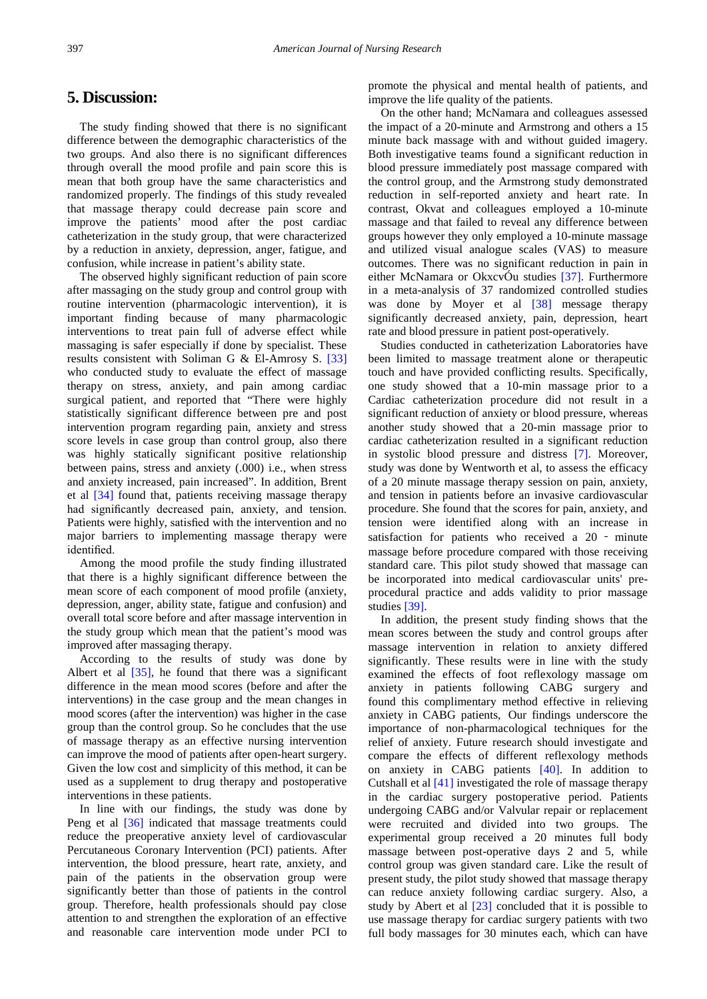# **5. Discussion:**

The study finding showed that there is no significant difference between the demographic characteristics of the two groups. And also there is no significant differences through overall the mood profile and pain score this is mean that both group have the same characteristics and randomized properly. The findings of this study revealed that massage therapy could decrease pain score and improve the patients' mood after the post cardiac catheterization in the study group, that were characterized by a reduction in anxiety, depression, anger, fatigue, and confusion, while increase in patient's ability state.

The observed highly significant reduction of pain score after massaging on the study group and control group with routine intervention (pharmacologic intervention), it is important finding because of many pharmacologic interventions to treat pain full of adverse effect while massaging is safer especially if done by specialist. These results consistent with Soliman G & El-Amrosy S. [\[33\]](#page-7-13) who conducted study to evaluate the effect of massage therapy on stress, anxiety, and pain among cardiac surgical patient, and reported that "There were highly statistically significant difference between pre and post intervention program regarding pain, anxiety and stress score levels in case group than control group, also there was highly statically significant positive relationship between pains, stress and anxiety (.000) i.e., when stress and anxiety increased, pain increased". In addition, Brent et al [\[34\]](#page-7-14) found that, patients receiving massage therapy had significantly decreased pain, anxiety, and tension. Patients were highly, satisfied with the intervention and no major barriers to implementing massage therapy were identified.

Among the mood profile the study finding illustrated that there is a highly significant difference between the mean score of each component of mood profile (anxiety, depression, anger, ability state, fatigue and confusion) and overall total score before and after massage intervention in the study group which mean that the patient's mood was improved after massaging therapy.

According to the results of study was done by Albert et al  $[35]$ , he found that there was a significant difference in the mean mood scores (before and after the interventions) in the case group and the mean changes in mood scores (after the intervention) was higher in the case group than the control group. So he concludes that the use of massage therapy as an effective nursing intervention can improve the mood of patients after open-heart surgery. Given the low cost and simplicity of this method, it can be used as a supplement to drug therapy and postoperative interventions in these patients.

In line with our findings, the study was done by Peng et al [\[36\]](#page-7-16) indicated that massage treatments could reduce the preoperative anxiety level of cardiovascular Percutaneous Coronary Intervention (PCI) patients. After intervention, the blood pressure, heart rate, anxiety, and pain of the patients in the observation group were significantly better than those of patients in the control group. Therefore, health professionals should pay close attention to and strengthen the exploration of an effective and reasonable care intervention mode under PCI to

promote the physical and mental health of patients, and improve the life quality of the patients.

On the other hand; McNamara and colleagues assessed the impact of a 20-minute and Armstrong and others a 15 minute back massage with and without guided imagery. Both investigative teams found a significant reduction in blood pressure immediately post massage compared with the control group, and the Armstrong study demonstrated reduction in self-reported anxiety and heart rate. In contrast, Okvat and colleagues employed a 10-minute massage and that failed to reveal any difference between groups however they only employed a 10-minute massage and utilized visual analogue scales (VAS) to measure outcomes. There was no significant reduction in pain in either McNamara or OkxcvÓu studies [\[37\].](#page-7-17) Furthermore in a meta-analysis of 37 randomized controlled studies was done by Moyer et al [\[38\]](#page-7-18) message therapy significantly decreased anxiety, pain, depression, heart rate and blood pressure in patient post-operatively.

Studies conducted in catheterization Laboratories have been limited to massage treatment alone or therapeutic touch and have provided conflicting results. Specifically, one study showed that a 10-min massage prior to a Cardiac catheterization procedure did not result in a significant reduction of anxiety or blood pressure, whereas another study showed that a 20-min massage prior to cardiac catheterization resulted in a significant reduction in systolic blood pressure and distress [\[7\].](#page-6-6) Moreover, study was done by Wentworth et al, to assess the efficacy of a 20 minute massage therapy session on pain, anxiety, and tension in patients before an invasive cardiovascular procedure. She found that the scores for pain, anxiety, and tension were identified along with an increase in satisfaction for patients who received a 20 - minute massage before procedure compared with those receiving standard care. This pilot study showed that massage can be incorporated into medical cardiovascular units' preprocedural practice and adds validity to prior massage studies [\[39\].](#page-7-19)

In addition, the present study finding shows that the mean scores between the study and control groups after massage intervention in relation to anxiety differed significantly. These results were in line with the study examined the effects of foot reflexology massage om anxiety in patients following CABG surgery and found this complimentary method effective in relieving anxiety in CABG patients, Our findings underscore the importance of non-pharmacological techniques for the relief of anxiety. Future research should investigate and compare the effects of different reflexology methods on anxiety in CABG patients [\[40\].](#page-7-20) In addition to Cutshall et al [\[41\]](#page-7-21) investigated the role of massage therapy in the cardiac surgery postoperative period. Patients undergoing CABG and/or Valvular repair or replacement were recruited and divided into two groups. The experimental group received a 20 minutes full body massage between post-operative days 2 and 5, while control group was given standard care. Like the result of present study, the pilot study showed that massage therapy can reduce anxiety following cardiac surgery. Also, a study by Abert et al [\[23\]](#page-7-3) concluded that it is possible to use massage therapy for cardiac surgery patients with two full body massages for 30 minutes each, which can have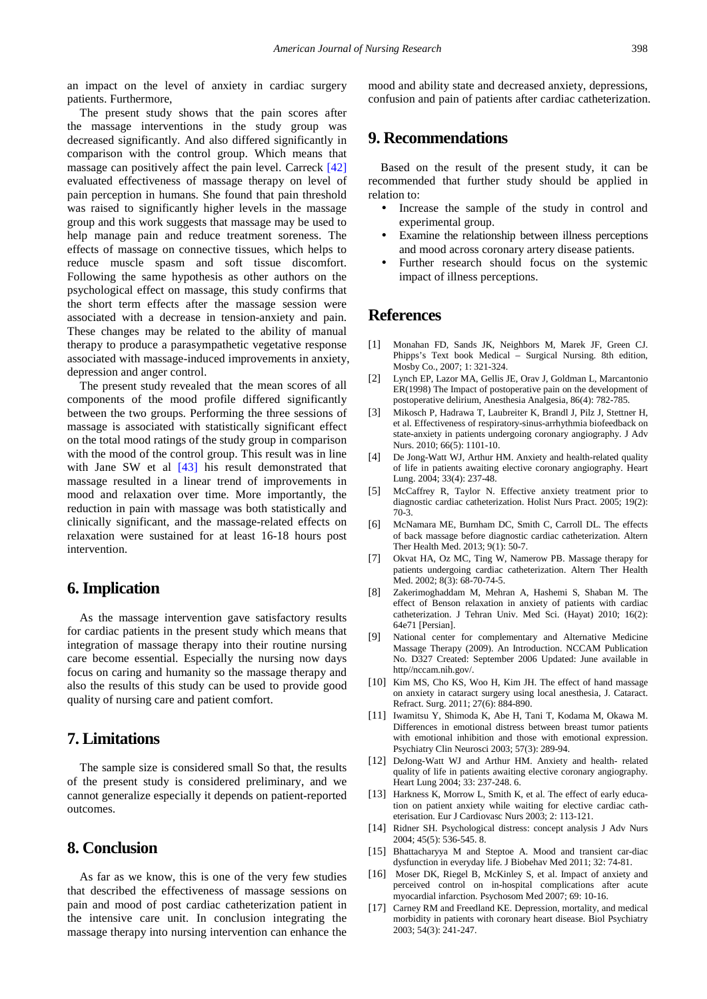an impact on the level of anxiety in cardiac surgery patients. Furthermore,

The present study shows that the pain scores after the massage interventions in the study group was decreased significantly. And also differed significantly in comparison with the control group. Which means that massage can positively affect the pain level. Carreck [\[42\]](#page-7-22) evaluated effectiveness of massage therapy on level of pain perception in humans. She found that pain threshold was raised to significantly higher levels in the massage group and this work suggests that massage may be used to help manage pain and reduce treatment soreness. The effects of massage on connective tissues, which helps to reduce muscle spasm and soft tissue discomfort. Following the same hypothesis as other authors on the psychological effect on massage, this study confirms that the short term effects after the massage session were associated with a decrease in tension-anxiety and pain. These changes may be related to the ability of manual therapy to produce a parasympathetic vegetative response associated with massage-induced improvements in anxiety, depression and anger control.

The present study revealed that the mean scores of all components of the mood profile differed significantly between the two groups. Performing the three sessions of massage is associated with statistically significant effect on the total mood ratings of the study group in comparison with the mood of the control group. This result was in line with Jane SW et al [\[43\]](#page-7-23) his result demonstrated that massage resulted in a linear trend of improvements in mood and relaxation over time. More importantly, the reduction in pain with massage was both statistically and clinically significant, and the massage-related effects on relaxation were sustained for at least 16-18 hours post intervention.

# **6. Implication**

As the massage intervention gave satisfactory results for cardiac patients in the present study which means that integration of massage therapy into their routine nursing care become essential. Especially the nursing now days focus on caring and humanity so the massage therapy and also the results of this study can be used to provide good quality of nursing care and patient comfort.

# **7. Limitations**

The sample size is considered small So that, the results of the present study is considered preliminary, and we cannot generalize especially it depends on patient-reported outcomes.

# **8. Conclusion**

As far as we know, this is one of the very few studies that described the effectiveness of massage sessions on pain and mood of post cardiac catheterization patient in the intensive care unit. In conclusion integrating the massage therapy into nursing intervention can enhance the mood and ability state and decreased anxiety, depressions, confusion and pain of patients after cardiac catheterization.

# **9. Recommendations**

Based on the result of the present study, it can be recommended that further study should be applied in relation to:

- Increase the sample of the study in control and experimental group.
- Examine the relationship between illness perceptions and mood across coronary artery disease patients.
- Further research should focus on the systemic impact of illness perceptions.

# **References**

- <span id="page-6-0"></span>[1] Monahan FD, Sands JK, Neighbors M, Marek JF, Green CJ. Phipps's Text book Medical – Surgical Nursing. 8th edition, Mosby Co., 2007; 1: 321-324.
- <span id="page-6-1"></span>[2] Lynch EP, Lazor MA, Gellis JE, Orav J, Goldman L, Marcantonio ER(1998) The Impact of postoperative pain on the development of postoperative delirium, Anesthesia Analgesia, 86(4): 782-785.
- <span id="page-6-2"></span>[3] Mikosch P, Hadrawa T, Laubreiter K, Brandl J, Pilz J, Stettner H, et al. Effectiveness of respiratory-sinus-arrhythmia biofeedback on state-anxiety in patients undergoing coronary angiography. J Adv Nurs. 2010; 66(5): 1101-10.
- <span id="page-6-3"></span>[4] De Jong-Watt WJ, Arthur HM. Anxiety and health-related quality of life in patients awaiting elective coronary angiography. Heart Lung. 2004; 33(4): 237-48.
- <span id="page-6-4"></span>[5] McCaffrey R, Taylor N. Effective anxiety treatment prior to diagnostic cardiac catheterization. Holist Nurs Pract. 2005; 19(2): 70-3.
- <span id="page-6-5"></span>[6] McNamara ME, Burnham DC, Smith C, Carroll DL. The effects of back massage before diagnostic cardiac catheterization. Altern Ther Health Med. 2013; 9(1): 50-7.
- <span id="page-6-6"></span>[7] Okvat HA, Oz MC, Ting W, Namerow PB. Massage therapy for patients undergoing cardiac catheterization. Altern Ther Health Med. 2002; 8(3): 68-70-74-5.
- <span id="page-6-7"></span>[8] Zakerimoghaddam M, Mehran A, Hashemi S, Shaban M. The effect of Benson relaxation in anxiety of patients with cardiac catheterization. J Tehran Univ. Med Sci. (Hayat) 2010; 16(2): 64e71 [Persian].
- [9] National center for complementary and Alternative Medicine Massage Therapy (2009). An Introduction. NCCAM Publication No. D327 Created: September 2006 Updated: June available in http//nccam.nih.gov/.
- <span id="page-6-8"></span>[10] Kim MS, Cho KS, Woo H, Kim JH. The effect of hand massage on anxiety in cataract surgery using local anesthesia, J. Cataract. Refract. Surg. 2011; 27(6): 884-890.
- [11] Iwamitsu Y, Shimoda K, Abe H, Tani T, Kodama M, Okawa M. Differences in emotional distress between breast tumor patients with emotional inhibition and those with emotional expression. Psychiatry Clin Neurosci 2003; 57(3): 289-94.
- <span id="page-6-9"></span>[12] DeJong-Watt WJ and Arthur HM. Anxiety and health- related quality of life in patients awaiting elective coronary angiography. Heart Lung 2004; 33: 237-248. 6.
- [13] Harkness K, Morrow L, Smith K, et al. The effect of early education on patient anxiety while waiting for elective cardiac catheterisation. Eur J Cardiovasc Nurs 2003; 2: 113-121.
- <span id="page-6-10"></span>[14] Ridner SH. Psychological distress: concept analysis J Adv Nurs 2004; 45(5): 536-545. 8.
- <span id="page-6-11"></span>[15] Bhattacharyya M and Steptoe A. Mood and transient car-diac dysfunction in everyday life. J Biobehav Med 2011; 32: 74-81.
- [16] Moser DK, Riegel B, McKinley S, et al. Impact of anxiety and perceived control on in-hospital complications after acute myocardial infarction. Psychosom Med 2007; 69: 10-16.
- <span id="page-6-12"></span>[17] Carney RM and Freedland KE. Depression, mortality, and medical morbidity in patients with coronary heart disease. Biol Psychiatry 2003; 54(3): 241-247.